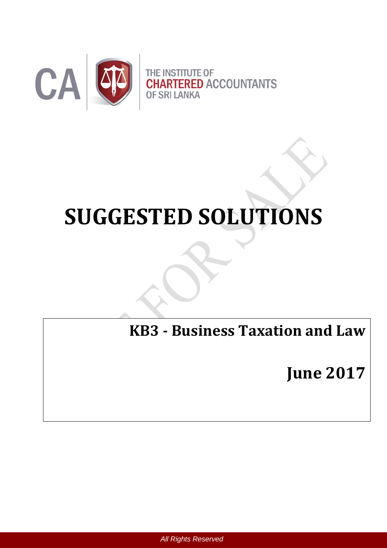

# **SUGGESTED SOLUTIONS**

**KB3 - Business Taxation and Law**

**June 2017**

 *All Rights Reserved*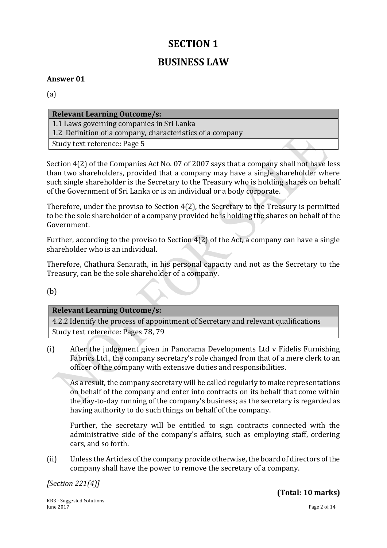# **SECTION 1**

# **BUSINESS LAW**

#### **Answer 01**

(a)

| <b>Relevant Learning Outcome/s:</b>                       |  |
|-----------------------------------------------------------|--|
| 1.1 Laws governing companies in Sri Lanka                 |  |
| 1.2 Definition of a company, characteristics of a company |  |
| Study text reference: Page 5                              |  |
|                                                           |  |

Section 4(2) of the Companies Act No. 07 of 2007 says that a company shall not have less than two shareholders, provided that a company may have a single shareholder where such single shareholder is the Secretary to the Treasury who is holding shares on behalf of the Government of Sri Lanka or is an individual or a body corporate.

Therefore, under the proviso to Section 4(2), the Secretary to the Treasury is permitted to be the sole shareholder of a company provided he is holding the shares on behalf of the Government.

Further, according to the proviso to Section 4(2) of the Act, a company can have a single shareholder who is an individual.

Therefore, Chathura Senarath, in his personal capacity and not as the Secretary to the Treasury, can be the sole shareholder of a company.

(b)

#### **Relevant Learning Outcome/s:**

4.2.2 Identify the process of appointment of Secretary and relevant qualifications Study text reference: Pages 78, 79

(i) After the judgement given in Panorama Developments Ltd v Fidelis Furnishing Fabrics Ltd., the company secretary's role changed from that of a mere clerk to an officer of the company with extensive duties and responsibilities.

As a result, the company secretary will be called regularly to make representations on behalf of the company and enter into contracts on its behalf that come within the day-to-day running of the company's business; as the secretary is regarded as having authority to do such things on behalf of the company.

Further, the secretary will be entitled to sign contracts connected with the administrative side of the company's affairs, such as employing staff, ordering cars, and so forth.

(ii) Unless the Articles of the company provide otherwise, the board of directors of the company shall have the power to remove the secretary of a company.

*[Section 221(4)]*

KB3 - Suggested Solutions June 2017 Page 2 of 14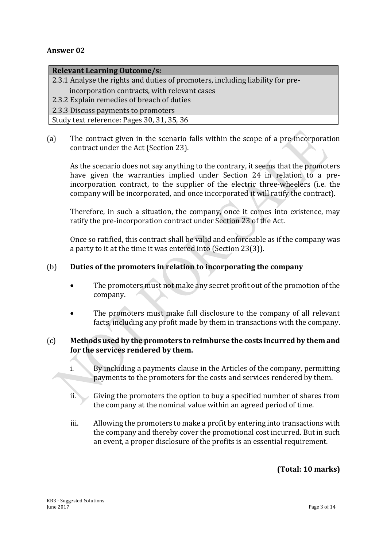#### **Relevant Learning Outcome/s:**

2.3.1 Analyse the rights and duties of promoters, including liability for pre-

- incorporation contracts, with relevant cases
- 2.3.2 Explain remedies of breach of duties
- 2.3.3 Discuss payments to promoters

Study text reference: Pages 30, 31, 35, 36

(a) The contract given in the scenario falls within the scope of a pre-incorporation contract under the Act (Section 23).

As the scenario does not say anything to the contrary, it seems that the promoters have given the warranties implied under Section 24 in relation to a preincorporation contract, to the supplier of the electric three-wheelers (i.e. the company will be incorporated, and once incorporated it will ratify the contract).

Therefore, in such a situation, the company, once it comes into existence, may ratify the pre-incorporation contract under Section 23 of the Act.

Once so ratified, this contract shall be valid and enforceable as if the company was a party to it at the time it was entered into (Section 23(3)).

#### (b) **Duties of the promoters in relation to incorporating the company**

- The promoters must not make any secret profit out of the promotion of the company.
- The promoters must make full disclosure to the company of all relevant facts, including any profit made by them in transactions with the company.

#### (c) **Methods used by the promoters to reimburse the costs incurred by them and for the services rendered by them.**

- i. By including a payments clause in the Articles of the company, permitting payments to the promoters for the costs and services rendered by them.
- ii. Giving the promoters the option to buy a specified number of shares from the company at the nominal value within an agreed period of time.
- iii. Allowing the promoters to make a profit by entering into transactions with the company and thereby cover the promotional cost incurred. But in such an event, a proper disclosure of the profits is an essential requirement.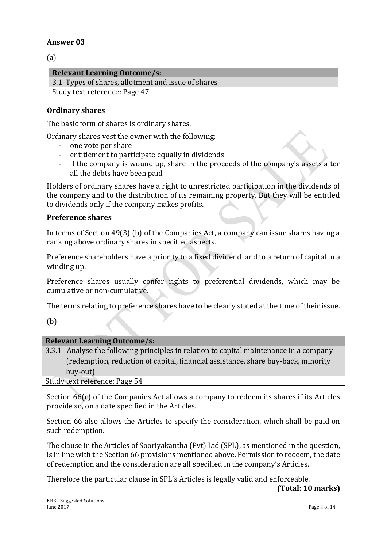(a)

| <b>Relevant Learning Outcome/s:</b>                |
|----------------------------------------------------|
| 3.1 Types of shares, allotment and issue of shares |
| Study text reference: Page 47                      |
|                                                    |

#### **Ordinary shares**

The basic form of shares is ordinary shares.

Ordinary shares vest the owner with the following:

- one vote per share
- entitlement to participate equally in dividends
- if the company is wound up, share in the proceeds of the company's assets after all the debts have been paid

Holders of ordinary shares have a right to unrestricted participation in the dividends of the company and to the distribution of its remaining property. But they will be entitled to dividends only if the company makes profits.

#### **Preference shares**

In terms of Section 49(3) (b) of the Companies Act, a company can issue shares having a ranking above ordinary shares in specified aspects.

Preference shareholders have a priority to a fixed dividend and to a return of capital in a winding up.

Preference shares usually confer rights to preferential dividends, which may be cumulative or non-cumulative.

The terms relating to preference shares have to be clearly stated at the time of their issue.

(b)

| <b>Relevant Learning Outcome/s:</b>                                                    |
|----------------------------------------------------------------------------------------|
| 3.3.1 Analyse the following principles in relation to capital maintenance in a company |
| (redemption, reduction of capital, financial assistance, share buy-back, minority      |
| buy-out)                                                                               |
| Study text reference: Page 54                                                          |

Section 66(c) of the Companies Act allows a company to redeem its shares if its Articles provide so, on a date specified in the Articles.

Section 66 also allows the Articles to specify the consideration, which shall be paid on such redemption.

The clause in the Articles of Sooriyakantha (Pvt) Ltd (SPL), as mentioned in the question, is in line with the Section 66 provisions mentioned above. Permission to redeem, the date of redemption and the consideration are all specified in the company's Articles.

Therefore the particular clause in SPL's Articles is legally valid and enforceable.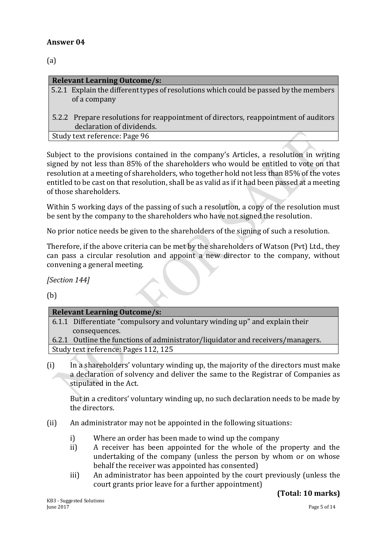(a)

| <b>Relevant Learning Outcome/s:</b>                                                   |
|---------------------------------------------------------------------------------------|
| 5.2.1 Explain the different types of resolutions which could be passed by the members |
| of a company                                                                          |
|                                                                                       |
| 5.2.2 Prepare resolutions for reappointment of directors, reappointment of auditors   |
| declaration of dividends.                                                             |
| Study text reference: Page 96                                                         |

Subject to the provisions contained in the company's Articles, a resolution in writing signed by not less than 85% of the shareholders who would be entitled to vote on that resolution at a meeting of shareholders, who together hold not less than 85% of the votes entitled to be cast on that resolution, shall be as valid as if it had been passed at a meeting of those shareholders.

Within 5 working days of the passing of such a resolution, a copy of the resolution must be sent by the company to the shareholders who have not signed the resolution.

No prior notice needs be given to the shareholders of the signing of such a resolution.

Therefore, if the above criteria can be met by the shareholders of Watson (Pvt) Ltd., they can pass a circular resolution and appoint a new director to the company, without convening a general meeting.

*[Section 144]*

(b)

| <b>Relevant Learning Outcome/s:</b>                                             |
|---------------------------------------------------------------------------------|
| 6.1.1 Differentiate "compulsory and voluntary winding up" and explain their     |
| consequences.                                                                   |
| 6.2.1 Outline the functions of administrator/liquidator and receivers/managers. |
|                                                                                 |

Study text reference: Pages 112, 125

(i) In a shareholders' voluntary winding up, the majority of the directors must make a declaration of solvency and deliver the same to the Registrar of Companies as stipulated in the Act.

But in a creditors' voluntary winding up, no such declaration needs to be made by the directors.

- (ii) An administrator may not be appointed in the following situations:
	- i) Where an order has been made to wind up the company
	- ii) A receiver has been appointed for the whole of the property and the undertaking of the company (unless the person by whom or on whose behalf the receiver was appointed has consented)
	- iii) An administrator has been appointed by the court previously (unless the court grants prior leave for a further appointment)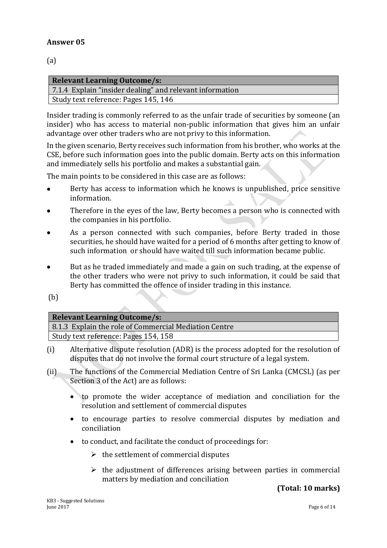(a)

| <b>Relevant Learning Outcome/s:</b>                      |
|----------------------------------------------------------|
| 7.1.4 Explain "insider dealing" and relevant information |
| Study text reference: Pages 145, 146                     |

Insider trading is commonly referred to as the unfair trade of securities by someone (an insider) who has access to material non-public information that gives him an unfair advantage over other traders who are not privy to this information.

In the given scenario, Berty receives such information from his brother, who works at the CSE, before such information goes into the public domain. Berty acts on this information and immediately sells his portfolio and makes a substantial gain.

The main points to be considered in this case are as follows:

- Berty has access to information which he knows is unpublished, price sensitive information.
- Therefore in the eyes of the law, Berty becomes a person who is connected with the companies in his portfolio.
- As a person connected with such companies, before Berty traded in those securities, he should have waited for a period of 6 months after getting to know of such information or should have waited till such information became public.
- But as he traded immediately and made a gain on such trading, at the expense of the other traders who were not privy to such information, it could be said that Berty has committed the offence of insider trading in this instance.

(b)

#### **Relevant Learning Outcome/s:**

8.1.3 Explain the role of Commercial Mediation Centre Study text reference: Pages 154, 158

- (i) Alternative dispute resolution (ADR) is the process adopted for the resolution of disputes that do not involve the formal court structure of a legal system.
- (ii) The functions of the Commercial Mediation Centre of Sri Lanka (CMCSL) (as per Section 3 of the Act) are as follows:
	- to promote the wider acceptance of mediation and conciliation for the resolution and settlement of commercial disputes
	- to encourage parties to resolve commercial disputes by mediation and conciliation
	- to conduct, and facilitate the conduct of proceedings for:
		- $\triangleright$  the settlement of commercial disputes
		- $\triangleright$  the adjustment of differences arising between parties in commercial matters by mediation and conciliation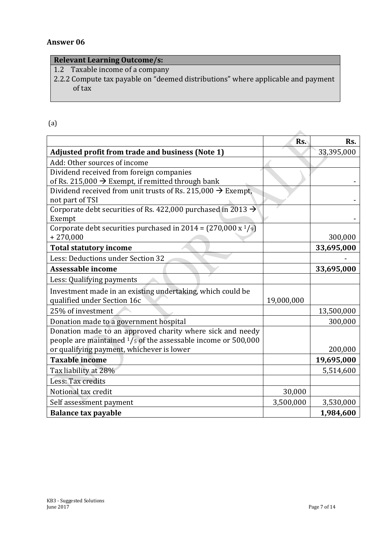#### **Relevant Learning Outcome/s:**

1.2 Taxable income of a company

2.2.2 Compute tax payable on "deemed distributions" where applicable and payment of tax

### (a)

|                                                                           | Rs.        | Rs.        |
|---------------------------------------------------------------------------|------------|------------|
| <b>Adjusted profit from trade and business (Note 1)</b>                   |            | 33,395,000 |
| Add: Other sources of income                                              |            |            |
| Dividend received from foreign companies                                  |            |            |
| of Rs. 215,000 $\rightarrow$ Exempt, if remitted through bank             |            |            |
| Dividend received from unit trusts of Rs. 215,000 $\rightarrow$ Exempt,   |            |            |
| not part of TSI                                                           |            |            |
| Corporate debt securities of Rs. 422,000 purchased in 2013 $\rightarrow$  |            |            |
| Exempt                                                                    |            |            |
| Corporate debt securities purchased in 2014 = $(270,000 \text{ x}^{1}/9)$ |            |            |
| $+270,000$                                                                |            | 300,000    |
| <b>Total statutory income</b>                                             |            | 33,695,000 |
| Less: Deductions under Section 32                                         |            |            |
| <b>Assessable income</b>                                                  |            | 33,695,000 |
| Less: Qualifying payments                                                 |            |            |
| Investment made in an existing undertaking, which could be                |            |            |
| qualified under Section 16c                                               | 19,000,000 |            |
| 25% of investment                                                         |            | 13,500,000 |
| Donation made to a government hospital                                    |            | 300,000    |
| Donation made to an approved charity where sick and needy                 |            |            |
| people are maintained $1/s$ of the assessable income or 500,000           |            |            |
| or qualifying payment, whichever is lower                                 |            | 200,000    |
| <b>Taxable income</b>                                                     |            | 19,695,000 |
| Tax liability at 28%                                                      |            | 5,514,600  |
| Less: Tax credits                                                         |            |            |
| Notional tax credit                                                       | 30,000     |            |
| Self assessment payment                                                   | 3,500,000  | 3,530,000  |
| <b>Balance tax payable</b>                                                |            | 1,984,600  |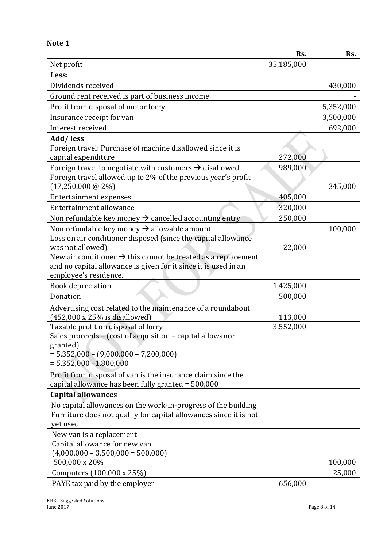|                                                                                                                                                                                      | Rs.        | Rs.       |
|--------------------------------------------------------------------------------------------------------------------------------------------------------------------------------------|------------|-----------|
| Net profit                                                                                                                                                                           | 35,185,000 |           |
| Less:                                                                                                                                                                                |            |           |
| Dividends received                                                                                                                                                                   |            | 430,000   |
| Ground rent received is part of business income                                                                                                                                      |            |           |
| Profit from disposal of motor lorry                                                                                                                                                  |            | 5,352,000 |
| Insurance receipt for van                                                                                                                                                            |            | 3,500,000 |
| Interest received                                                                                                                                                                    |            | 692,000   |
| Add/less                                                                                                                                                                             |            |           |
| Foreign travel: Purchase of machine disallowed since it is<br>capital expenditure                                                                                                    | 272,000    |           |
| Foreign travel to negotiate with customers $\rightarrow$ disallowed                                                                                                                  | 989,000    |           |
| Foreign travel allowed up to 2% of the previous year's profit<br>$(17,250,000 \text{ @ } 2\%)$                                                                                       |            | 345,000   |
| <b>Entertainment expenses</b>                                                                                                                                                        | 405,000    |           |
| Entertainment allowance                                                                                                                                                              | 320,000    |           |
| Non refundable key money $\rightarrow$ cancelled accounting entry                                                                                                                    | 250,000    |           |
| Non refundable key money $\rightarrow$ allowable amount                                                                                                                              |            | 100,000   |
| Loss on air conditioner disposed (since the capital allowance<br>was not allowed)                                                                                                    | 22,000     |           |
| New air conditioner $\rightarrow$ this cannot be treated as a replacement<br>and no capital allowance is given for it since it is used in an<br>employee's residence.                |            |           |
| <b>Book depreciation</b>                                                                                                                                                             | 1,425,000  |           |
| Donation                                                                                                                                                                             | 500,000    |           |
| Advertising cost related to the maintenance of a roundabout<br>$(452,000 \times 25\%$ is disallowed)                                                                                 | 113,000    |           |
| Taxable profit on disposal of lorry<br>Sales proceeds - (cost of acquisition - capital allowance<br>granted)<br>$= 5,352,000 - (9,000,000 - 7,200,000)$<br>$= 5,352,000 - 1,800,000$ | 3,552,000  |           |
| Profit from disposal of van is the insurance claim since the<br>capital allowance has been fully granted = 500,000                                                                   |            |           |
| <b>Capital allowances</b>                                                                                                                                                            |            |           |
| No capital allowances on the work-in-progress of the building                                                                                                                        |            |           |
| Furniture does not qualify for capital allowances since it is not<br>yet used                                                                                                        |            |           |
| New van is a replacement                                                                                                                                                             |            |           |
| Capital allowance for new van<br>$(4,000,000 - 3,500,000 - 500,000)$                                                                                                                 |            |           |
| 500,000 x 20%                                                                                                                                                                        |            | 100,000   |
| Computers (100,000 x 25%)                                                                                                                                                            |            | 25,000    |
| PAYE tax paid by the employer                                                                                                                                                        | 656,000    |           |

**Note 1**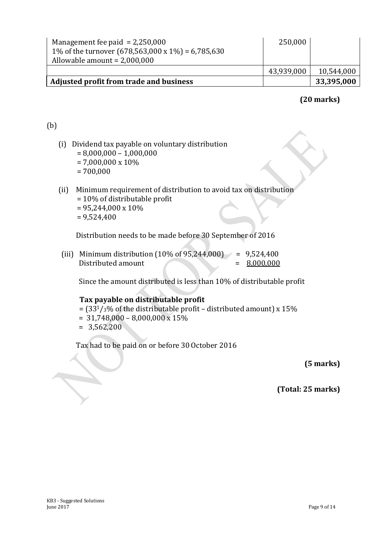| Management fee paid $= 2,250,000$<br>1% of the turnover $(678,563,000 \times 1\%) = 6,785,630$<br>Allowable amount = $2,000,000$ | 250,000    |            |
|----------------------------------------------------------------------------------------------------------------------------------|------------|------------|
|                                                                                                                                  | 43,939,000 | 10,544,000 |
| Adjusted profit from trade and business                                                                                          |            | 33,395,000 |

# **(20 marks)**

## (b)

- (i) Dividend tax payable on voluntary distribution  $= 8,000,000 - 1,000,000$ = 7,000,000 x 10% = 700,000
- (ii) Minimum requirement of distribution to avoid tax on distribution = 10% of distributable profit  $= 95,244,000 \times 10\%$  $= 9,524,400$

Distribution needs to be made before 30 September of 2016

(iii) Minimum distribution  $(10\% \text{ of } 95,244,000)$  = 9,524,400  $Distributed amount =  $8,000,000$$ 

Since the amount distributed is less than 10% of distributable profit

#### **Tax payable on distributable profit**

- $=$  (33<sup>1</sup>/<sub>3</sub>% of the distributable profit distributed amount) x 15%
- $= 31,748,000 8,000,000 \times 15\%$
- $= 3,562,200$

Tax had to be paid on or before 30 October 2016

**(5 marks)**

**(Total: 25 marks)**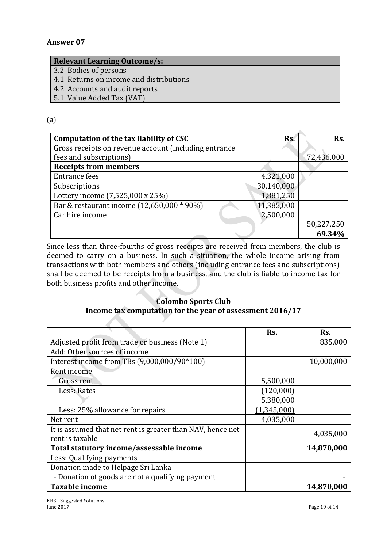#### **Relevant Learning Outcome/s:**

- 3.2 Bodies of persons
- 4.1 Returns on income and distributions
- 4.2 Accounts and audit reports
- 5.1 Value Added Tax (VAT)

#### (a)

| Computation of the tax liability of CSC               | Rs.        | Rs.        |
|-------------------------------------------------------|------------|------------|
| Gross receipts on revenue account (including entrance |            |            |
| fees and subscriptions)                               |            | 72,436,000 |
| <b>Receipts from members</b>                          |            |            |
| <b>Entrance fees</b>                                  | 4,321,000  |            |
| Subscriptions                                         | 30,140,000 |            |
| Lottery income (7,525,000 x 25%)                      | 1,881,250  |            |
| Bar & restaurant income (12,650,000 * 90%)            | 11,385,000 |            |
| Car hire income                                       | 2,500,000  |            |
|                                                       |            | 50,227,250 |
|                                                       |            | 69.34%     |

Since less than three-fourths of gross receipts are received from members, the club is deemed to carry on a business. In such a situation, the whole income arising from transactions with both members and others (including entrance fees and subscriptions) shall be deemed to be receipts from a business, and the club is liable to income tax for both business profits and other income.

#### **Colombo Sports Club Income tax computation for the year of assessment 2016/17**

|                                                            | Rs.         | Rs.        |
|------------------------------------------------------------|-------------|------------|
| Adjusted profit from trade or business (Note 1)            |             | 835,000    |
| Add: Other sources of income                               |             |            |
| Interest income from TBs (9,000,000/90*100)                |             | 10,000,000 |
| Rent income                                                |             |            |
| Gross rent                                                 | 5,500,000   |            |
| Less: Rates                                                | (120,000)   |            |
|                                                            | 5,380,000   |            |
| Less: 25% allowance for repairs                            | (1,345,000) |            |
| Net rent                                                   | 4,035,000   |            |
| It is assumed that net rent is greater than NAV, hence net |             | 4,035,000  |
| rent is taxable                                            |             |            |
| Total statutory income/assessable income                   |             | 14,870,000 |
| Less: Qualifying payments                                  |             |            |
| Donation made to Helpage Sri Lanka                         |             |            |
| - Donation of goods are not a qualifying payment           |             |            |
| <b>Taxable income</b>                                      |             | 14,870,000 |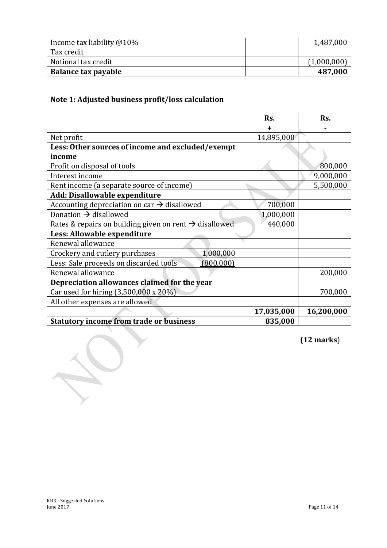| Income tax liability $@10\%$ | 1,487,000   |
|------------------------------|-------------|
| Tax credit                   |             |
| Notional tax credit          | (1,000,000) |
| Balance tax payable          | 487,000     |

# **Note 1: Adjusted business profit/loss calculation**

|                                                                    | Rs.        | Rs.        |
|--------------------------------------------------------------------|------------|------------|
|                                                                    |            |            |
| Net profit                                                         | 14,895,000 |            |
| Less: Other sources of income and excluded/exempt                  |            |            |
| income                                                             |            |            |
| Profit on disposal of tools                                        |            | 800,000    |
| Interest income                                                    |            | 9,000,000  |
| Rent income (a separate source of income)                          |            | 5,500,000  |
| Add: Disallowable expenditure                                      |            |            |
| Accounting depreciation on car $\rightarrow$ disallowed            | 700,000    |            |
| Donation $\rightarrow$ disallowed                                  | 1,000,000  |            |
| Rates & repairs on building given on rent $\rightarrow$ disallowed | 440,000    |            |
| Less: Allowable expenditure                                        |            |            |
| Renewal allowance                                                  |            |            |
| 1,000,000<br>Crockery and cutlery purchases                        |            |            |
| Less: Sale proceeds on discarded tools<br>(800,000)                |            |            |
| Renewal allowance                                                  |            | 200,000    |
| Depreciation allowances claimed for the year                       |            |            |
| Car used for hiring (3,500,000 x 20%)                              |            | 700,000    |
| All other expenses are allowed                                     |            |            |
|                                                                    | 17,035,000 | 16,200,000 |
| <b>Statutory income from trade or business</b>                     | 835,000    |            |

**(12 marks**)

K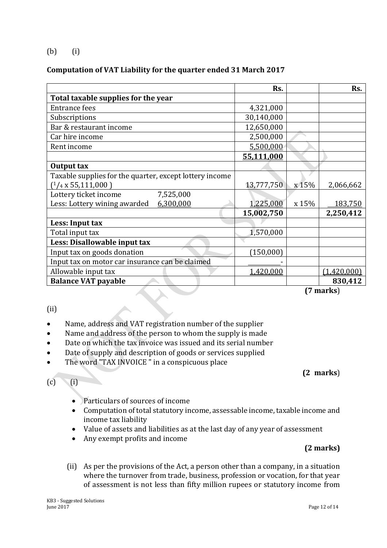(b) (i)

#### **Computation of VAT Liability for the quarter ended 31 March 2017**

| 4,321,000<br>30,140,000<br>12,650,000 |                                                    |
|---------------------------------------|----------------------------------------------------|
|                                       |                                                    |
|                                       |                                                    |
|                                       |                                                    |
|                                       |                                                    |
| 2,500,000                             |                                                    |
| 5,500,000                             |                                                    |
| 55,111,000                            |                                                    |
|                                       |                                                    |
|                                       |                                                    |
| x 15%                                 | 2,066,662                                          |
|                                       |                                                    |
| x 15%                                 | 183,750                                            |
|                                       | 2,250,412                                          |
|                                       |                                                    |
|                                       |                                                    |
|                                       |                                                    |
|                                       |                                                    |
|                                       |                                                    |
|                                       |                                                    |
| 1,420,000                             | (1,420,000)                                        |
| (150,000)                             | 13,777,750<br>1,225,000<br>15,002,750<br>1,570,000 |

**(7 marks**)

#### (ii)

#### Name, address and VAT registration number of the supplier

- Name and address of the person to whom the supply is made
- Date on which the tax invoice was issued and its serial number
- Date of supply and description of goods or services supplied
- The word "TAX INVOICE" in a conspicuous place

## $(c)$  (i)

- Particulars of sources of income
- Computation of total statutory income, assessable income, taxable income and income tax liability
- Value of assets and liabilities as at the last day of any year of assessment
- Any exempt profits and income

#### **(2 marks)**

**(2 marks**)

(ii) As per the provisions of the Act, a person other than a company, in a situation where the turnover from trade, business, profession or vocation, for that year of assessment is not less than fifty million rupees or statutory income from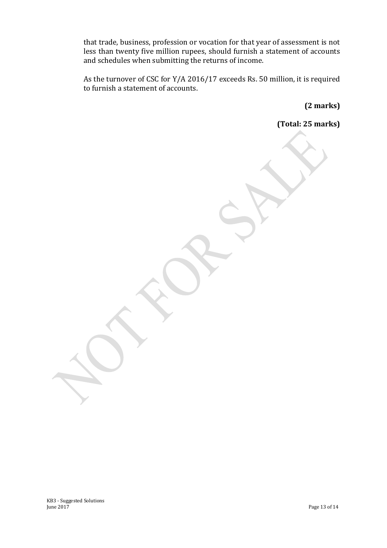that trade, business, profession or vocation for that year of assessment is not less than twenty five million rupees, should furnish a statement of accounts and schedules when submitting the returns of income.

As the turnover of CSC for Y/A 2016/17 exceeds Rs. 50 million, it is required to furnish a statement of accounts.

**(2 marks)**

**(Total: 25 marks)**